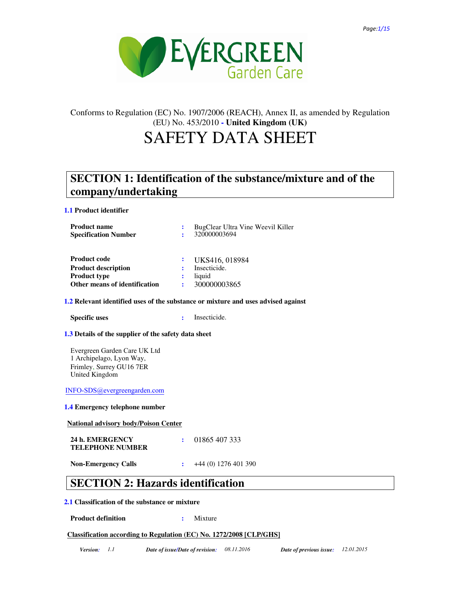

# Conforms to Regulation (EC) No. 1907/2006 (REACH), Annex II, as amended by Regulation (EU) No. 453/2010 **- United Kingdom (UK)**

# SAFETY DATA SHEET

# **SECTION 1: Identification of the substance/mixture and of the company/undertaking**

**1.1 Product identifier**

| <b>Product name</b><br><b>Specification Number</b> |   | BugClear Ultra Vine Weevil Killer<br>320000003694 |
|----------------------------------------------------|---|---------------------------------------------------|
| <b>Product code</b>                                |   | UKS416, 018984                                    |
| <b>Product description</b>                         |   | Insecticide.                                      |
| <b>Product type</b>                                |   | liquid                                            |
| Other means of identification                      | ÷ | 300000003865                                      |

### **1.2 Relevant identified uses of the substance or mixture and uses advised against**

**Specific uses :** Insecticide.

### **1.3 Details of the supplier of the safety data sheet**

Evergreen Garden Care UK Ltd 1 Archipelago, Lyon Way, Frimley, Surrey GU16 7ER United Kingdom

INFO-SDS@evergreengarden.com

#### **1.4 Emergency telephone number**

**National advisory body/Poison Center**

| 24 h. EMERGENCY         | $\cdot$ 01865 407 333 |
|-------------------------|-----------------------|
| <b>TELEPHONE NUMBER</b> |                       |
|                         |                       |

**Non-Emergency Calls :** +44 (0) 1276 401 390

# **SECTION 2: Hazards identification**

### **2.1 Classification of the substance or mixture**

**Product definition : Mixture :** Mixture

## **Classification according to Regulation (EC) No. 1272/2008 [CLP/GHS]**

*Version: 1.1 Date of issue/Date of revision: 08.11.2016 Date of previous issue: 12.01.2015*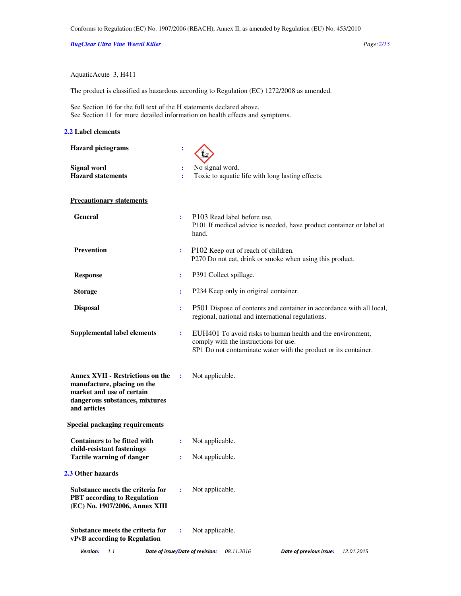*BugClear Ultra Vine Weevil Killer Page:2/15* 

AquaticAcute 3, H411

The product is classified as hazardous according to Regulation (EC) 1272/2008 as amended.

See Section 16 for the full text of the H statements declared above. See Section 11 for more detailed information on health effects and symptoms.

#### **2.2 Label elements**

| <b>Hazard</b> pictograms                                                                                                                              | ፡              |                                                                                                                                                                        |
|-------------------------------------------------------------------------------------------------------------------------------------------------------|----------------|------------------------------------------------------------------------------------------------------------------------------------------------------------------------|
| Signal word<br><b>Hazard statements</b>                                                                                                               | $\ddot{\cdot}$ | No signal word.<br>Toxic to aquatic life with long lasting effects.                                                                                                    |
| <b>Precautionary statements</b>                                                                                                                       |                |                                                                                                                                                                        |
| <b>General</b>                                                                                                                                        | ÷              | P103 Read label before use.<br>P101 If medical advice is needed, have product container or label at<br>hand.                                                           |
| <b>Prevention</b>                                                                                                                                     | ÷              | P102 Keep out of reach of children.<br>P270 Do not eat, drink or smoke when using this product.                                                                        |
| <b>Response</b>                                                                                                                                       | ÷              | P391 Collect spillage.                                                                                                                                                 |
| <b>Storage</b>                                                                                                                                        | ÷              | P234 Keep only in original container.                                                                                                                                  |
| <b>Disposal</b>                                                                                                                                       | ÷              | P501 Dispose of contents and container in accordance with all local,<br>regional, national and international regulations.                                              |
| <b>Supplemental label elements</b>                                                                                                                    | ÷              | EUH401 To avoid risks to human health and the environment,<br>comply with the instructions for use.<br>SP1 Do not contaminate water with the product or its container. |
| <b>Annex XVII - Restrictions on the</b><br>manufacture, placing on the<br>market and use of certain<br>dangerous substances, mixtures<br>and articles | ÷              | Not applicable.                                                                                                                                                        |
| <b>Special packaging requirements</b>                                                                                                                 |                |                                                                                                                                                                        |
| <b>Containers to be fitted with</b><br>child-resistant fastenings                                                                                     | ÷              | Not applicable.                                                                                                                                                        |
| <b>Tactile warning of danger</b>                                                                                                                      | ÷              | Not applicable.                                                                                                                                                        |
| 2.3 Other hazards                                                                                                                                     |                |                                                                                                                                                                        |
| Substance meets the criteria for<br><b>PBT</b> according to Regulation<br>(EC) No. 1907/2006, Annex XIII                                              | ÷              | Not applicable.                                                                                                                                                        |
| Substance meets the criteria for<br>vPvB according to Regulation                                                                                      | ÷              | Not applicable.                                                                                                                                                        |
| Version:<br>1.1                                                                                                                                       |                | Date of issue/Date of revision:<br>08.11.2016<br>Date of previous issue:<br>12.01.2015                                                                                 |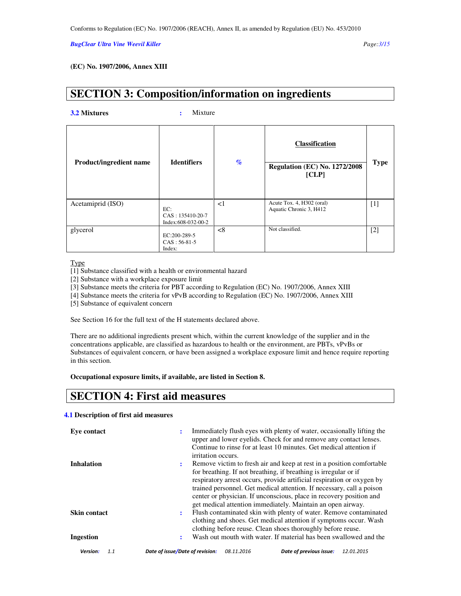#### *BugClear Ultra Vine Weevil Killer Page:3/15*

### **(EC) No. 1907/2006, Annex XIII**

# **SECTION 3: Composition/information on ingredients**

**3.2 Mixtures :** Mixture

| <b>Product/ingredient name</b> | <b>Identifiers</b>                              | $\%$     | <b>Classification</b><br><b>Regulation (EC) No. 1272/2008</b><br>[CLP] | <b>Type</b> |
|--------------------------------|-------------------------------------------------|----------|------------------------------------------------------------------------|-------------|
| Acetamiprid (ISO)              | EC:<br>$CAS: 135410-20-7$<br>Index:608-032-00-2 | $\leq$ 1 | Acute Tox. 4, H302 (oral)<br>Aquatic Chronic 3, H412                   | $[1]$       |
| glycerol                       | EC:200-289-5<br>$CAS: 56-81-5$<br>Index:        | $<$ 8    | Not classified.                                                        | $[2]$       |

#### **Type**

[1] Substance classified with a health or environmental hazard

[2] Substance with a workplace exposure limit

[3] Substance meets the criteria for PBT according to Regulation (EC) No. 1907/2006, Annex XIII

[4] Substance meets the criteria for vPvB according to Regulation (EC) No. 1907/2006, Annex XIII

[5] Substance of equivalent concern

See Section 16 for the full text of the H statements declared above.

There are no additional ingredients present which, within the current knowledge of the supplier and in the concentrations applicable, are classified as hazardous to health or the environment, are PBTs, vPvBs or Substances of equivalent concern, or have been assigned a workplace exposure limit and hence require reporting in this section.

### **Occupational exposure limits, if available, are listed in Section 8.**

# **SECTION 4: First aid measures**

### **4.1 Description of first aid measures**

| Eve contact         | Immediately flush eyes with plenty of water, occasionally lifting the<br>÷<br>upper and lower eyelids. Check for and remove any contact lenses.<br>Continue to rinse for at least 10 minutes. Get medical attention if<br>irritation occurs.                                                                                                                                                                                             |
|---------------------|------------------------------------------------------------------------------------------------------------------------------------------------------------------------------------------------------------------------------------------------------------------------------------------------------------------------------------------------------------------------------------------------------------------------------------------|
| <b>Inhalation</b>   | Remove victim to fresh air and keep at rest in a position comfortable<br>٠.<br>for breathing. If not breathing, if breathing is irregular or if<br>respiratory arrest occurs, provide artificial respiration or oxygen by<br>trained personnel. Get medical attention. If necessary, call a poison<br>center or physician. If unconscious, place in recovery position and<br>get medical attention immediately. Maintain an open airway. |
| <b>Skin contact</b> | Flush contaminated skin with plenty of water. Remove contaminated<br>٠.<br>clothing and shoes. Get medical attention if symptoms occur. Wash<br>clothing before reuse. Clean shoes thoroughly before reuse.<br>Wash out mouth with water. If material has been swallowed and the                                                                                                                                                         |
| Ingestion           | ÷                                                                                                                                                                                                                                                                                                                                                                                                                                        |
| Version:<br>1.1     | Date of issue/Date of revision:<br>Date of previous issue:<br>08.11.2016<br>12.01.2015                                                                                                                                                                                                                                                                                                                                                   |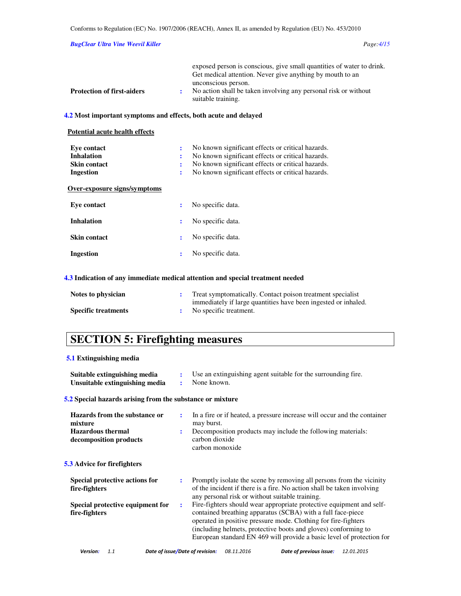### *BugClear Ultra Vine Weevil Killer Page:4/15*

|                                   | exposed person is conscious, give small quantities of water to drink. |
|-----------------------------------|-----------------------------------------------------------------------|
|                                   | Get medical attention. Never give anything by mouth to an             |
|                                   | unconscious person.                                                   |
| <b>Protection of first-aiders</b> | No action shall be taken involving any personal risk or without       |
|                                   | suitable training.                                                    |

## **4.2 Most important symptoms and effects, both acute and delayed**

| <b>Potential acute health effects</b>                         |             |                                                                                                                                                                                                                  |
|---------------------------------------------------------------|-------------|------------------------------------------------------------------------------------------------------------------------------------------------------------------------------------------------------------------|
| Eve contact<br><b>Inhalation</b><br>Skin contact<br>Ingestion | ÷<br>÷<br>÷ | No known significant effects or critical hazards.<br>No known significant effects or critical hazards.<br>No known significant effects or critical hazards.<br>No known significant effects or critical hazards. |
| Over-exposure signs/symptoms                                  |             |                                                                                                                                                                                                                  |
| Eve contact                                                   | ÷           | No specific data.                                                                                                                                                                                                |
| <b>Inhalation</b>                                             | ÷           | No specific data.                                                                                                                                                                                                |
| <b>Skin contact</b>                                           | ÷           | No specific data.                                                                                                                                                                                                |
| Ingestion                                                     | ÷           | No specific data.                                                                                                                                                                                                |
|                                                               |             |                                                                                                                                                                                                                  |

## **4.3 Indication of any immediate medical attention and special treatment needed**

| Notes to physician         | Treat symptomatically. Contact poison treatment specialist     |
|----------------------------|----------------------------------------------------------------|
|                            | immediately if large quantities have been ingested or inhaled. |
| <b>Specific treatments</b> | No specific treatment.                                         |

# **SECTION 5: Firefighting measures**

## **5.1 Extinguishing media**

| Suitable extinguishing media<br>Unsuitable extinguishing media                                 | ÷<br>$\ddot{\phantom{a}}$ | Use an extinguishing agent suitable for the surrounding fire.<br>None known.                                                                                                                                                                                              |
|------------------------------------------------------------------------------------------------|---------------------------|---------------------------------------------------------------------------------------------------------------------------------------------------------------------------------------------------------------------------------------------------------------------------|
| 5.2 Special hazards arising from the substance or mixture                                      |                           |                                                                                                                                                                                                                                                                           |
| Hazards from the substance or<br>mixture<br><b>Hazardous</b> thermal<br>decomposition products | ÷                         | In a fire or if heated, a pressure increase will occur and the container<br>may burst.<br>Decomposition products may include the following materials:<br>carbon dioxide<br>carbon monoxide                                                                                |
| <b>5.3</b> Advice for firefighters                                                             |                           |                                                                                                                                                                                                                                                                           |
| Special protective actions for<br>fire-fighters<br>Special protective equipment for            | ÷<br>÷                    | Promptly isolate the scene by removing all persons from the vicinity<br>of the incident if there is a fire. No action shall be taken involving<br>any personal risk or without suitable training.<br>Fire-fighters should wear appropriate protective equipment and self- |
| fire-fighters                                                                                  |                           | contained breathing apparatus (SCBA) with a full face-piece<br>operated in positive pressure mode. Clothing for fire-fighters<br>(including helmets, protective boots and gloves) conforming to<br>European standard EN 469 will provide a basic level of protection for  |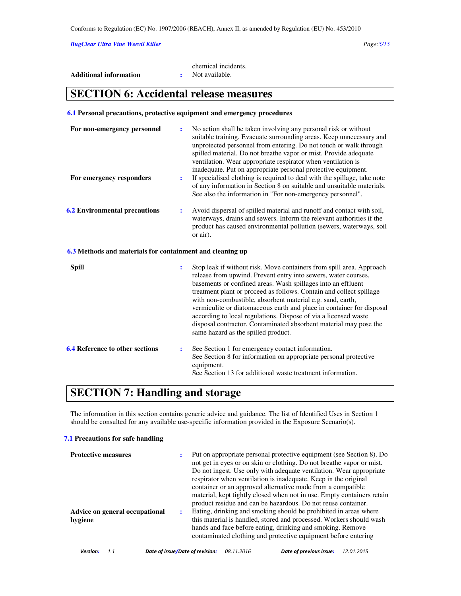*BugClear Ultra Vine Weevil Killer Page:5/15* 

|                        | chemical incidents. |
|------------------------|---------------------|
| Additional information | Not available.      |

# **SECTION 6: Accidental release measures**

#### **6.1 Personal precautions, protective equipment and emergency procedures**

| For non-emergency personnel                               | ÷              | No action shall be taken involving any personal risk or without<br>suitable training. Evacuate surrounding areas. Keep unnecessary and<br>unprotected personnel from entering. Do not touch or walk through<br>spilled material. Do not breathe vapor or mist. Provide adequate<br>ventilation. Wear appropriate respirator when ventilation is<br>inadequate. Put on appropriate personal protective equipment.                                                                                                                                                                                    |
|-----------------------------------------------------------|----------------|-----------------------------------------------------------------------------------------------------------------------------------------------------------------------------------------------------------------------------------------------------------------------------------------------------------------------------------------------------------------------------------------------------------------------------------------------------------------------------------------------------------------------------------------------------------------------------------------------------|
| For emergency responders                                  | ÷              | If specialised clothing is required to deal with the spillage, take note<br>of any information in Section 8 on suitable and unsuitable materials.<br>See also the information in "For non-emergency personnel".                                                                                                                                                                                                                                                                                                                                                                                     |
| <b>6.2 Environmental precautions</b>                      | ÷              | Avoid dispersal of spilled material and runoff and contact with soil,<br>waterways, drains and sewers. Inform the relevant authorities if the<br>product has caused environmental pollution (sewers, waterways, soil<br>or air).                                                                                                                                                                                                                                                                                                                                                                    |
| 6.3 Methods and materials for containment and cleaning up |                |                                                                                                                                                                                                                                                                                                                                                                                                                                                                                                                                                                                                     |
| <b>Spill</b>                                              | $\ddot{\cdot}$ | Stop leak if without risk. Move containers from spill area. Approach<br>release from upwind. Prevent entry into sewers, water courses,<br>basements or confined areas. Wash spillages into an effluent<br>treatment plant or proceed as follows. Contain and collect spillage<br>with non-combustible, absorbent material e.g. sand, earth,<br>vermiculite or diatomaceous earth and place in container for disposal<br>according to local regulations. Dispose of via a licensed waste<br>disposal contractor. Contaminated absorbent material may pose the<br>same hazard as the spilled product. |
| <b>6.4 Reference to other sections</b>                    | $\ddot{\cdot}$ | See Section 1 for emergency contact information.<br>See Section 8 for information on appropriate personal protective<br>equipment.<br>See Section 13 for additional waste treatment information.                                                                                                                                                                                                                                                                                                                                                                                                    |

# **SECTION 7: Handling and storage**

The information in this section contains generic advice and guidance. The list of Identified Uses in Section 1 should be consulted for any available use-specific information provided in the Exposure Scenario(s).

#### **7.1 Precautions for safe handling**

| <b>Protective measures</b>                |   | Put on appropriate personal protective equipment (see Section 8). Do<br>not get in eyes or on skin or clothing. Do not breathe vapor or mist.<br>Do not ingest. Use only with adequate ventilation. Wear appropriate<br>respirator when ventilation is inadequate. Keep in the original<br>container or an approved alternative made from a compatible<br>material, kept tightly closed when not in use. Empty containers retain<br>product residue and can be hazardous. Do not reuse container. |
|-------------------------------------------|---|---------------------------------------------------------------------------------------------------------------------------------------------------------------------------------------------------------------------------------------------------------------------------------------------------------------------------------------------------------------------------------------------------------------------------------------------------------------------------------------------------|
| Advice on general occupational<br>hygiene | ÷ | Eating, drinking and smoking should be prohibited in areas where<br>this material is handled, stored and processed. Workers should wash<br>hands and face before eating, drinking and smoking. Remove<br>contaminated clothing and protective equipment before entering                                                                                                                                                                                                                           |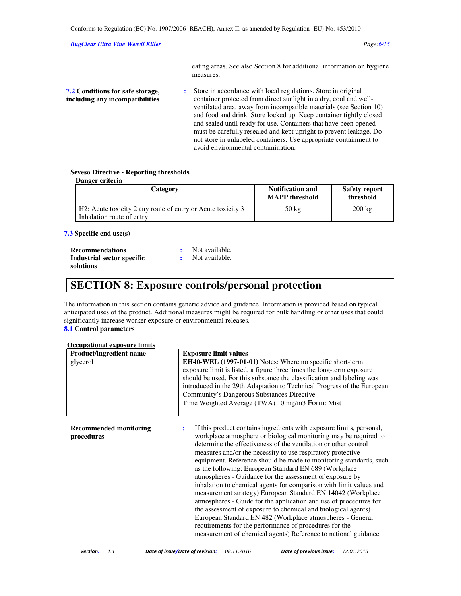#### *BugClear Ultra Vine Weevil Killer Page:6/15*

eating areas. See also Section 8 for additional information on hygiene measures.

**7.2 Conditions for safe storage, including any incompatibilities :** Store in accordance with local regulations. Store in original container protected from direct sunlight in a dry, cool and wellventilated area, away from incompatible materials (see Section 10) and food and drink. Store locked up. Keep container tightly closed and sealed until ready for use. Containers that have been opened must be carefully resealed and kept upright to prevent leakage. Do not store in unlabeled containers. Use appropriate containment to avoid environmental contamination.

#### **Seveso Directive - Reporting thresholds**

| Danger criteria                                                                          |                                                  |                                   |
|------------------------------------------------------------------------------------------|--------------------------------------------------|-----------------------------------|
| Category                                                                                 | <b>Notification and</b><br><b>MAPP</b> threshold | <b>Safety report</b><br>threshold |
| H2: Acute toxicity 2 any route of entry or Acute toxicity 3<br>Inhalation route of entry | $50 \text{ kg}$                                  | $200 \text{ kg}$                  |

#### **7.3 Specific end use(s)**

| <b>Recommendations</b>     | Not available. |
|----------------------------|----------------|
| Industrial sector specific | Not available. |
| solutions                  |                |

# **SECTION 8: Exposure controls/personal protection**

The information in this section contains generic advice and guidance. Information is provided based on typical anticipated uses of the product. Additional measures might be required for bulk handling or other uses that could significantly increase worker exposure or environmental releases.

### **8.1 Control parameters**

#### **Occupational exposure limits**

| <b>Product/ingredient name</b> | <b>Exposure limit values</b>                                            |
|--------------------------------|-------------------------------------------------------------------------|
| glycerol                       | <b>EH40-WEL (1997-01-01)</b> Notes: Where no specific short-term        |
|                                | exposure limit is listed, a figure three times the long-term exposure   |
|                                | should be used. For this substance the classification and labeling was  |
|                                | introduced in the 29th Adaptation to Technical Progress of the European |
|                                | Community's Dangerous Substances Directive                              |
|                                | Time Weighted Average (TWA) 10 mg/m3 Form: Mist                         |
|                                |                                                                         |

**Recommended monitoring procedures :** If this product contains ingredients with exposure limits, personal, workplace atmosphere or biological monitoring may be required to determine the effectiveness of the ventilation or other control measures and/or the necessity to use respiratory protective equipment. Reference should be made to monitoring standards, such as the following: European Standard EN 689 (Workplace atmospheres - Guidance for the assessment of exposure by inhalation to chemical agents for comparison with limit values and measurement strategy) European Standard EN 14042 (Workplace atmospheres - Guide for the application and use of procedures for the assessment of exposure to chemical and biological agents) European Standard EN 482 (Workplace atmospheres - General requirements for the performance of procedures for the measurement of chemical agents) Reference to national guidance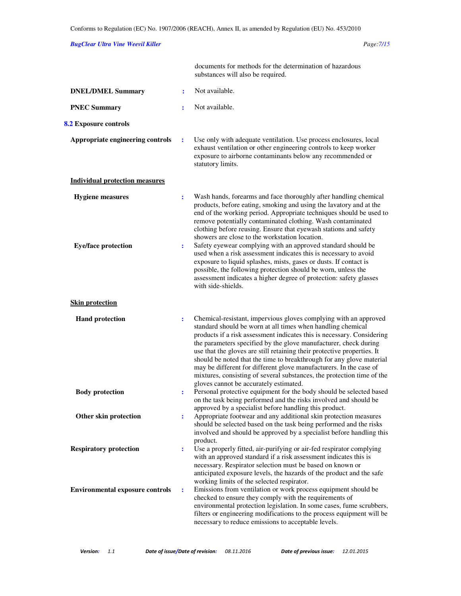# *BugClear Ultra Vine Weevil Killer Page:7/15*

|                                                       |        | documents for methods for the determination of hazardous<br>substances will also be required.                                                                                                                                                                                                                                                                                                                                                                                                                                                                                                                              |
|-------------------------------------------------------|--------|----------------------------------------------------------------------------------------------------------------------------------------------------------------------------------------------------------------------------------------------------------------------------------------------------------------------------------------------------------------------------------------------------------------------------------------------------------------------------------------------------------------------------------------------------------------------------------------------------------------------------|
| <b>DNEL/DMEL Summary</b>                              | ÷      | Not available.                                                                                                                                                                                                                                                                                                                                                                                                                                                                                                                                                                                                             |
| <b>PNEC Summary</b>                                   | ÷      | Not available.                                                                                                                                                                                                                                                                                                                                                                                                                                                                                                                                                                                                             |
| 8.2 Exposure controls                                 |        |                                                                                                                                                                                                                                                                                                                                                                                                                                                                                                                                                                                                                            |
| Appropriate engineering controls                      | ÷      | Use only with adequate ventilation. Use process enclosures, local<br>exhaust ventilation or other engineering controls to keep worker<br>exposure to airborne contaminants below any recommended or<br>statutory limits.                                                                                                                                                                                                                                                                                                                                                                                                   |
| <b>Individual protection measures</b>                 |        |                                                                                                                                                                                                                                                                                                                                                                                                                                                                                                                                                                                                                            |
| <b>Hygiene</b> measures<br><b>Eye/face protection</b> | ÷<br>÷ | Wash hands, forearms and face thoroughly after handling chemical<br>products, before eating, smoking and using the lavatory and at the<br>end of the working period. Appropriate techniques should be used to<br>remove potentially contaminated clothing. Wash contaminated<br>clothing before reusing. Ensure that eyewash stations and safety<br>showers are close to the workstation location.<br>Safety eyewear complying with an approved standard should be<br>used when a risk assessment indicates this is necessary to avoid                                                                                     |
|                                                       |        | exposure to liquid splashes, mists, gases or dusts. If contact is<br>possible, the following protection should be worn, unless the<br>assessment indicates a higher degree of protection: safety glasses<br>with side-shields.                                                                                                                                                                                                                                                                                                                                                                                             |
| <b>Skin protection</b>                                |        |                                                                                                                                                                                                                                                                                                                                                                                                                                                                                                                                                                                                                            |
| <b>Hand protection</b>                                | ÷      | Chemical-resistant, impervious gloves complying with an approved<br>standard should be worn at all times when handling chemical<br>products if a risk assessment indicates this is necessary. Considering<br>the parameters specified by the glove manufacturer, check during<br>use that the gloves are still retaining their protective properties. It<br>should be noted that the time to breakthrough for any glove material<br>may be different for different glove manufacturers. In the case of<br>mixtures, consisting of several substances, the protection time of the<br>gloves cannot be accurately estimated. |
| <b>Body protection</b>                                | ÷      | Personal protective equipment for the body should be selected based<br>on the task being performed and the risks involved and should be                                                                                                                                                                                                                                                                                                                                                                                                                                                                                    |
| Other skin protection                                 | ۰.     | approved by a specialist before handling this product.<br>Appropriate footwear and any additional skin protection measures<br>should be selected based on the task being performed and the risks<br>involved and should be approved by a specialist before handling this<br>product.                                                                                                                                                                                                                                                                                                                                       |
| <b>Respiratory protection</b>                         | ÷      | Use a properly fitted, air-purifying or air-fed respirator complying<br>with an approved standard if a risk assessment indicates this is<br>necessary. Respirator selection must be based on known or<br>anticipated exposure levels, the hazards of the product and the safe<br>working limits of the selected respirator.                                                                                                                                                                                                                                                                                                |
| <b>Environmental exposure controls</b>                | ÷      | Emissions from ventilation or work process equipment should be<br>checked to ensure they comply with the requirements of<br>environmental protection legislation. In some cases, fume scrubbers,<br>filters or engineering modifications to the process equipment will be<br>necessary to reduce emissions to acceptable levels.                                                                                                                                                                                                                                                                                           |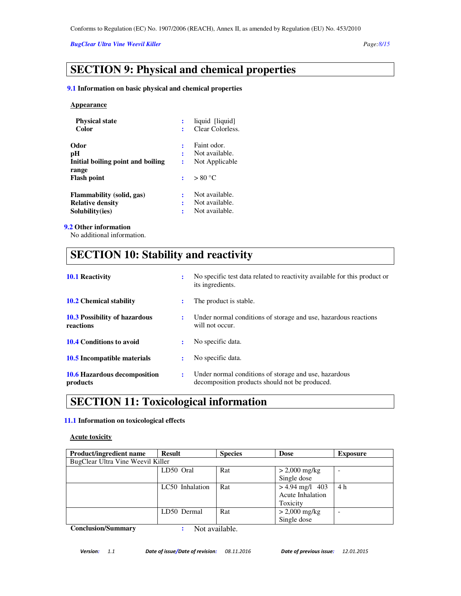### *BugClear Ultra Vine Weevil Killer Page:8/15*

# **SECTION 9: Physical and chemical properties**

#### **9.1 Information on basic physical and chemical properties**

#### **Appearance**

| <b>Physical state</b><br>Color    | liquid [liquid]<br>Clear Colorless. |
|-----------------------------------|-------------------------------------|
| Odor                              | Faint odor.                         |
| рH                                | Not available.                      |
| Initial boiling point and boiling | Not Applicable                      |
| range                             |                                     |
| <b>Flash point</b>                | > 80 °C                             |
| Flammability (solid, gas)         | Not available.                      |
| <b>Relative density</b>           | Not available.                      |
| Solubility(ies)                   | Not available.                      |

#### **9.2 Other information**

No additional information.

# **SECTION 10: Stability and reactivity**

| <b>10.1 Reactivity</b>                     |                | No specific test data related to reactivity available for this product or<br>its ingredients.           |
|--------------------------------------------|----------------|---------------------------------------------------------------------------------------------------------|
| <b>10.2</b> Chemical stability             | ٠              | The product is stable.                                                                                  |
| 10.3 Possibility of hazardous<br>reactions | ÷              | Under normal conditions of storage and use, hazardous reactions<br>will not occur.                      |
| <b>10.4 Conditions to avoid</b>            |                | No specific data.                                                                                       |
| 10.5 Incompatible materials                | ٠              | No specific data.                                                                                       |
| 10.6 Hazardous decomposition<br>products   | $\ddot{\cdot}$ | Under normal conditions of storage and use, hazardous<br>decomposition products should not be produced. |

# **SECTION 11: Toxicological information**

### **11.1 Information on toxicological effects**

# **Acute toxicity**

| <b>Product/ingredient name</b>    | Result          | <b>Species</b> | <b>Dose</b>             | <b>Exposure</b>          |
|-----------------------------------|-----------------|----------------|-------------------------|--------------------------|
| BugClear Ultra Vine Weevil Killer |                 |                |                         |                          |
|                                   | LD50 Oral       | Rat            | $> 2,000 \text{ mg/kg}$ | $\overline{\phantom{a}}$ |
|                                   |                 |                | Single dose             |                          |
|                                   | LC50 Inhalation | Rat            | $> 4.94$ mg/l 403       | 4 h                      |
|                                   |                 |                | Acute Inhalation        |                          |
|                                   |                 |                | Toxicity                |                          |
|                                   | LD50 Dermal     | Rat            | $> 2,000 \text{ mg/kg}$ | $\overline{\phantom{a}}$ |
|                                   |                 |                | Single dose             |                          |

**Conclusion/Summary :** Not available.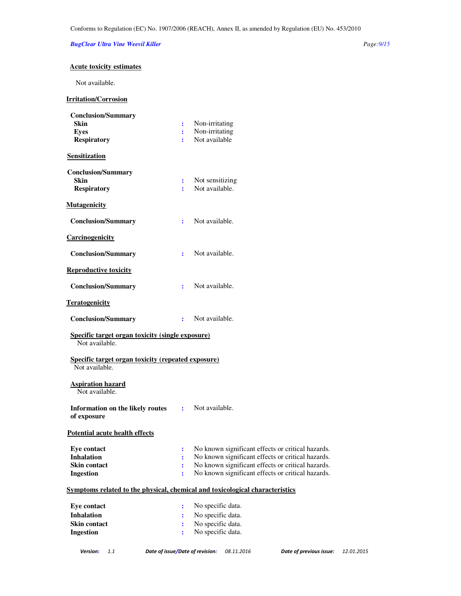### *BugClear Ultra Vine Weevil Killer Page:9/15*

# **Acute toxicity estimates**

Not available.

# **Irritation/Corrosion**

| <b>Conclusion/Summary</b>                                                    |                |                                                     |
|------------------------------------------------------------------------------|----------------|-----------------------------------------------------|
| <b>Skin</b><br><b>Eyes</b>                                                   | ÷              | Non-irritating<br>Non-irritating                    |
| <b>Respiratory</b>                                                           | ÷              | Not available                                       |
| <b>Sensitization</b>                                                         |                |                                                     |
| <b>Conclusion/Summary</b>                                                    |                |                                                     |
| <b>Skin</b>                                                                  | ÷              | Not sensitizing                                     |
| <b>Respiratory</b>                                                           | ÷              | Not available.                                      |
| <b>Mutagenicity</b>                                                          |                |                                                     |
| <b>Conclusion/Summary</b>                                                    | ÷              | Not available.                                      |
| Carcinogenicity                                                              |                |                                                     |
| <b>Conclusion/Summary</b>                                                    | ÷              | Not available.                                      |
| <b>Reproductive toxicity</b>                                                 |                |                                                     |
| <b>Conclusion/Summary</b>                                                    | ÷              | Not available.                                      |
| <b>Teratogenicity</b>                                                        |                |                                                     |
| <b>Conclusion/Summary</b>                                                    | $\mathbf{r}$   | Not available.                                      |
|                                                                              |                |                                                     |
| <b>Specific target organ toxicity (single exposure)</b><br>Not available.    |                |                                                     |
| Specific target organ toxicity (repeated exposure)                           |                |                                                     |
| Not available.                                                               |                |                                                     |
| <b>Aspiration hazard</b><br>Not available.                                   |                |                                                     |
| Information on the likely routes : Not available.<br>of exposure             |                |                                                     |
| <b>Potential acute health effects</b>                                        |                |                                                     |
| <b>Eye contact</b>                                                           |                | : No known significant effects or critical hazards. |
| <b>Inhalation</b>                                                            | $\ddot{\cdot}$ | No known significant effects or critical hazards.   |
| <b>Skin contact</b>                                                          | :              | No known significant effects or critical hazards.   |
| <b>Ingestion</b>                                                             | $\ddot{\cdot}$ | No known significant effects or critical hazards.   |
| Symptoms related to the physical, chemical and toxicological characteristics |                |                                                     |
| <b>Eye contact</b>                                                           | $\ddot{\cdot}$ | No specific data.                                   |
| <b>Inhalation</b>                                                            | $\ddot{\cdot}$ | No specific data.                                   |
| <b>Skin contact</b><br><b>Ingestion</b>                                      | ÷<br>÷         | No specific data.<br>No specific data.              |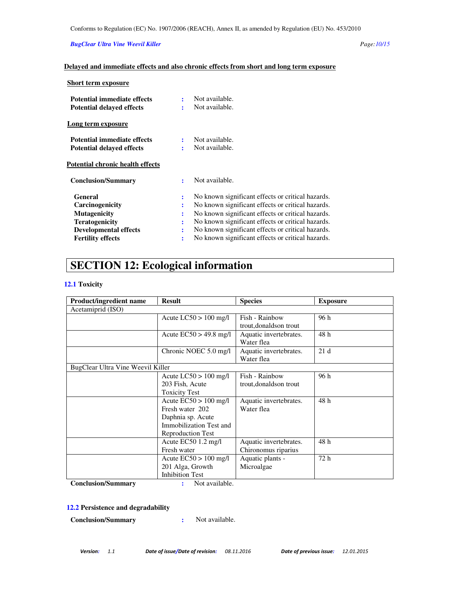### *BugClear Ultra Vine Weevil Killer Page:10/15*

# **Delayed and immediate effects and also chronic effects from short and long term exposure**

| <b>Short term exposure</b>                                      |        |                                                   |
|-----------------------------------------------------------------|--------|---------------------------------------------------|
| Potential immediate effects<br><b>Potential delayed effects</b> | ÷<br>÷ | Not available.<br>Not available.                  |
| Long term exposure                                              |        |                                                   |
| <b>Potential immediate effects</b>                              |        | Not available.                                    |
| <b>Potential delayed effects</b>                                |        | Not available.                                    |
| Potential chronic health effects                                |        |                                                   |
| <b>Conclusion/Summary</b>                                       | ÷      | Not available.                                    |
| General                                                         | ÷      | No known significant effects or critical hazards. |
| Carcinogenicity                                                 | ÷      | No known significant effects or critical hazards. |
| <b>Mutagenicity</b>                                             |        | No known significant effects or critical hazards. |
| <b>Teratogenicity</b>                                           | ÷      | No known significant effects or critical hazards. |
| <b>Developmental effects</b>                                    | :      | No known significant effects or critical hazards. |
| <b>Fertility effects</b>                                        | ÷      | No known significant effects or critical hazards. |

# **SECTION 12: Ecological information**

## **12.1 Toxicity**

| <b>Product/ingredient name</b>    | <b>Result</b>                 | <b>Species</b>          | <b>Exposure</b> |
|-----------------------------------|-------------------------------|-------------------------|-----------------|
| Acetamiprid (ISO)                 |                               |                         |                 |
|                                   | Acute $LC50 > 100$ mg/l       | Fish - Rainbow          | 96 h            |
|                                   |                               | trout, donalds on trout |                 |
|                                   | Acute $EC50 > 49.8$ mg/l      | Aquatic invertebrates.  | 48 h            |
|                                   |                               | Water flea              |                 |
|                                   | Chronic NOEC 5.0 mg/l         | Aquatic invertebrates.  | 21d             |
|                                   |                               | Water flea              |                 |
| BugClear Ultra Vine Weevil Killer |                               |                         |                 |
|                                   | Acute $LC50 > 100$ mg/l       | Fish - Rainbow          | 96 h            |
|                                   | 203 Fish, Acute               | trout, donalds on trout |                 |
|                                   | <b>Toxicity Test</b>          |                         |                 |
|                                   | Acute $EC50 > 100$ mg/l       | Aquatic invertebrates.  | 48 h            |
|                                   | Fresh water 202               | Water flea              |                 |
|                                   | Daphnia sp. Acute             |                         |                 |
|                                   | Immobilization Test and       |                         |                 |
|                                   | <b>Reproduction Test</b>      |                         |                 |
|                                   | Acute EC50 $1.2 \text{ mg/l}$ | Aquatic invertebrates.  | 48h             |
|                                   | Fresh water                   | Chironomus riparius     |                 |
|                                   | Acute $EC50 > 100$ mg/l       | Aquatic plants -        | 72 h            |
|                                   | 201 Alga, Growth              | Microalgae              |                 |
|                                   | <b>Inhibition Test</b>        |                         |                 |

**Conclusion/Summary :** Not available.

# **12.2 Persistence and degradability**

**Conclusion/Summary :** Not available.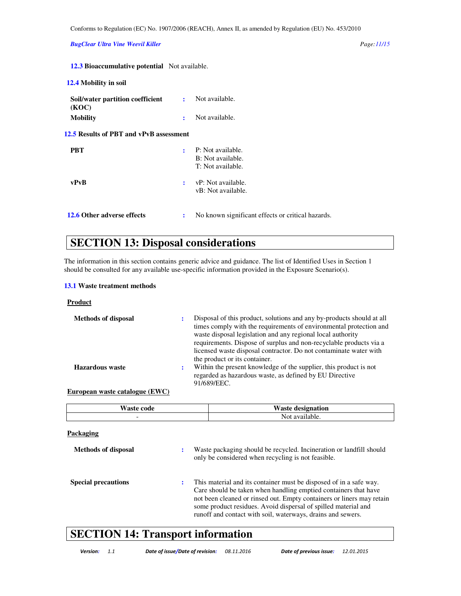*BugClear Ultra Vine Weevil Killer Page:11/15* 

| <b>12.3 Bioaccumulative potential</b> Not available. |  |
|------------------------------------------------------|--|
|------------------------------------------------------|--|

| 12.4 Mobility in soil                     |   |                                                             |
|-------------------------------------------|---|-------------------------------------------------------------|
| Soil/water partition coefficient<br>(KOC) | ÷ | Not available.                                              |
| <b>Mobility</b>                           | ÷ | Not available.                                              |
| 12.5 Results of PBT and vPvB assessment   |   |                                                             |
| <b>PBT</b>                                | ÷ | P: Not available.<br>B: Not available.<br>T: Not available. |
| vPvB                                      | ÷ | vP: Not available.<br>vB: Not available.                    |
| 12.6 Other adverse effects                | ÷ | No known significant effects or critical hazards.           |

# **SECTION 13: Disposal considerations**

The information in this section contains generic advice and guidance. The list of Identified Uses in Section 1 should be consulted for any available use-specific information provided in the Exposure Scenario(s).

### **13.1 Waste treatment methods**

**Product** 

| <b>Methods of disposal</b> | ÷ | Disposal of this product, solutions and any by-products should at all<br>times comply with the requirements of environmental protection and<br>waste disposal legislation and any regional local authority<br>requirements. Dispose of surplus and non-recyclable products via a<br>licensed waste disposal contractor. Do not contaminate water with<br>the product or its container. |
|----------------------------|---|----------------------------------------------------------------------------------------------------------------------------------------------------------------------------------------------------------------------------------------------------------------------------------------------------------------------------------------------------------------------------------------|
| <b>Hazardous</b> waste     | ÷ | Within the present knowledge of the supplier, this product is not<br>regarded as hazardous waste, as defined by EU Directive<br>91/689/EEC.                                                                                                                                                                                                                                            |
| .                          |   |                                                                                                                                                                                                                                                                                                                                                                                        |

### **European waste catalogue (EWC)**

| Waste code | <b>Waste designation</b> |
|------------|--------------------------|
|            | Not available.           |

| Packaging                  |   |                                                                                                                                                                                                                                                                                                                                                 |
|----------------------------|---|-------------------------------------------------------------------------------------------------------------------------------------------------------------------------------------------------------------------------------------------------------------------------------------------------------------------------------------------------|
| <b>Methods of disposal</b> | ٠ | Waste packaging should be recycled. Incineration or landfill should<br>only be considered when recycling is not feasible.                                                                                                                                                                                                                       |
| <b>Special precautions</b> | ٠ | This material and its container must be disposed of in a safe way.<br>Care should be taken when handling emptied containers that have<br>not been cleaned or rinsed out. Empty containers or liners may retain<br>some product residues. Avoid dispersal of spilled material and<br>runoff and contact with soil, waterways, drains and sewers. |

# **SECTION 14: Transport information**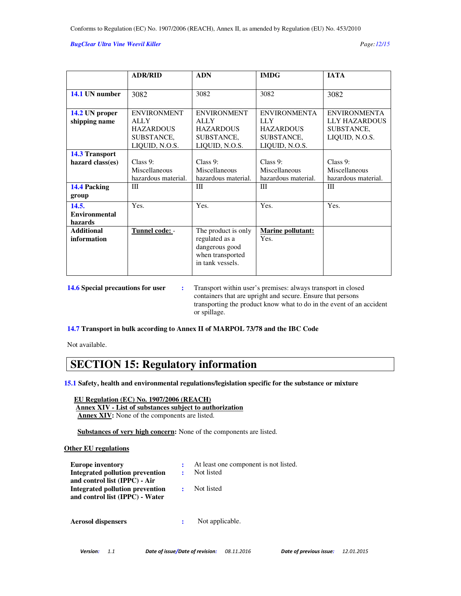#### *BugClear Ultra Vine Weevil Killer Page:12/15*

|                       | <b>ADR/RID</b>      | <b>ADN</b>          | <b>IMDG</b>         | <b>IATA</b>          |
|-----------------------|---------------------|---------------------|---------------------|----------------------|
|                       |                     |                     |                     |                      |
| 14.1 UN number        | 3082                | 3082                | 3082                | 3082                 |
|                       |                     |                     |                     |                      |
| 14.2 UN proper        | <b>ENVIRONMENT</b>  | <b>ENVIRONMENT</b>  | <b>ENVIRONMENTA</b> | <b>ENVIRONMENTA</b>  |
| shipping name         | <b>ALLY</b>         | <b>ALLY</b>         | <b>LLY</b>          | <b>LLY HAZARDOUS</b> |
|                       | <b>HAZARDOUS</b>    | <b>HAZARDOUS</b>    | <b>HAZARDOUS</b>    | SUBSTANCE,           |
|                       | SUBSTANCE,          | SUBSTANCE.          | SUBSTANCE,          | LIQUID, N.O.S.       |
|                       | LIQUID, N.O.S.      | LIQUID, N.O.S.      | LIQUID, N.O.S.      |                      |
| <b>14.3 Transport</b> |                     |                     |                     |                      |
| hazard class(es)      | Class $9:$          | Class $9:$          | Class $9:$          | Class 9:             |
|                       | Miscellaneous       | Miscellaneous       | Miscellaneous       | Miscellaneous        |
|                       | hazardous material. | hazardous material. | hazardous material. | hazardous material.  |
| 14.4 Packing          | Ш                   | Ш                   | Ш                   | Ш                    |
| group                 |                     |                     |                     |                      |
| 14.5.                 | Yes.                | Yes.                | Yes.                | Yes.                 |
| <b>Environmental</b>  |                     |                     |                     |                      |
| hazards               |                     |                     |                     |                      |
| <b>Additional</b>     | Tunnel code: -      | The product is only | Marine pollutant:   |                      |
| information           |                     | regulated as a      | Yes.                |                      |
|                       |                     | dangerous good      |                     |                      |
|                       |                     | when transported    |                     |                      |
|                       |                     | in tank vessels.    |                     |                      |
|                       |                     |                     |                     |                      |

**14.6 Special precautions for user :** Transport within user's premises: always transport in closed containers that are upright and secure. Ensure that persons transporting the product know what to do in the event of an accident or spillage.

**14.7 Transport in bulk according to Annex II of MARPOL 73/78 and the IBC Code** 

Not available.

# **SECTION 15: Regulatory information**

**15.1 Safety, health and environmental regulations/legislation specific for the substance or mixture** 

 **EU Regulation (EC) No. 1907/2006 (REACH)**

 **Annex XIV - List of substances subject to authorization Annex XIV:** None of the components are listed.

 **Substances of very high concern:** None of the components are listed.

#### **Other EU regulations**

| <b>Europe inventory</b><br>Integrated pollution prevention<br>and control list (IPPC) - Air | At least one component is not listed.<br>Not listed |
|---------------------------------------------------------------------------------------------|-----------------------------------------------------|
| <b>Integrated pollution prevention</b><br>and control list (IPPC) - Water                   | Not listed                                          |
| <b>Aerosol dispensers</b>                                                                   | Not applicable.                                     |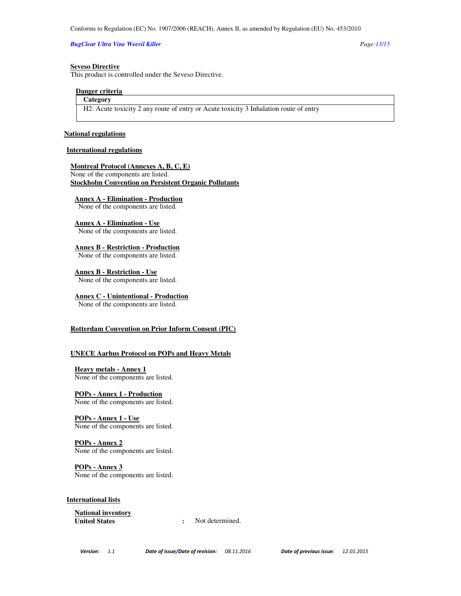#### *BugClear Ultra Vine Weevil Killer Page:13/15*

#### **Seveso Directive**

This product is controlled under the Seveso Directive.

#### **Danger criteria**

# **Category**

H2: Acute toxicity 2 any route of entry or Acute toxicity 3 Inhalation route of entry

#### **National regulations**

## **International regulations**

**Montreal Protocol (Annexes A, B, C, E)** None of the components are listed. **Stockholm Convention on Persistent Organic Pollutants**

**Annex A - Elimination - Production**

None of the components are listed.

**Annex A - Elimination - Use** None of the components are listed.

**Annex B - Restriction - Production** None of the components are listed.

**Annex B - Restriction - Use** None of the components are listed.

**Annex C - Unintentional - Production** None of the components are listed.

#### **Rotterdam Convention on Prior Inform Consent (PIC)**

#### **UNECE Aarhus Protocol on POPs and Heavy Metals**

**Heavy metals - Annex 1** None of the components are listed.

**POPs - Annex 1 - Production** None of the components are listed.

**POPs - Annex 1 - Use** None of the components are listed.

**POPs - Annex 2** None of the components are listed.

**POPs - Annex 3** None of the components are listed.

**International lists**

**National inventory**

**:** Not determined.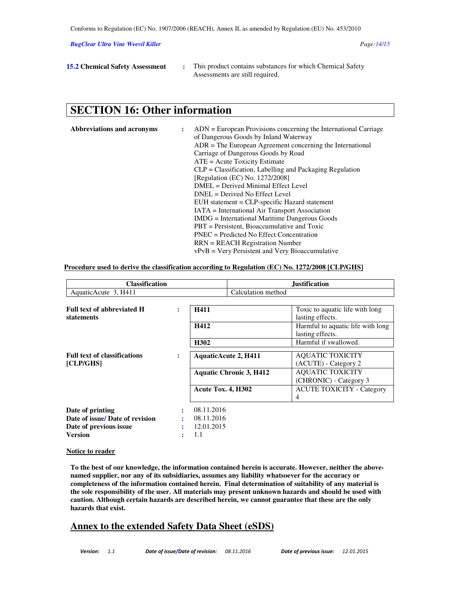*BugClear Ultra Vine Weevil Killer Page:14/15* 

**15.2 Chemical Safety Assessment** : This product contains substances for which Chemical Safety Assessments are still required.

# **SECTION 16: Other information**

| Abbreviations and acronyms | $ADN = European Provisions concerning the International Carriage$ |
|----------------------------|-------------------------------------------------------------------|
|                            | of Dangerous Goods by Inland Waterway                             |
|                            | $ADR = The European Agreement concerning the International$       |
|                            | Carriage of Dangerous Goods by Road                               |
|                            | $ATE = Acute Toxicity Estimate$                                   |
|                            | $CLP = Classification$ , Labelling and Packaging Regulation       |
|                            | [Regulation (EC) No. 1272/2008]                                   |
|                            | DMEL = Derived Minimal Effect Level                               |
|                            | $DNEL = Derived No Effect Level$                                  |
|                            | EUH statement = CLP-specific Hazard statement                     |
|                            | <b>IATA</b> = International Air Transport Association             |
|                            | <b>IMDG</b> = International Maritime Dangerous Goods              |
|                            | $PBT =$ Persistent, Bioaccumulative and Toxic                     |
|                            | $PNEC = Predicted No Effect Concentration$                        |
|                            | $RRN = REACH$ Registration Number                                 |
|                            | $vPvB = V$ ery Persistent and Very Bioaccumulative                |

#### **Procedure used to derive the classification according to Regulation (EC) No. 1272/2008 [CLP/GHS]**

| <b>Classification</b>               |   |                             |                                | <b>Justification</b>              |
|-------------------------------------|---|-----------------------------|--------------------------------|-----------------------------------|
| AquaticAcute 3, H411                |   |                             | Calculation method             |                                   |
|                                     |   |                             |                                |                                   |
| <b>Full text of abbreviated H</b>   | ÷ | H411                        |                                | Toxic to aquatic life with long   |
| <b>statements</b>                   |   |                             |                                | lasting effects.                  |
|                                     |   | H412                        |                                | Harmful to aquatic life with long |
|                                     |   |                             |                                | lasting effects.                  |
|                                     |   | H302                        |                                | Harmful if swallowed.             |
| <b>Full text of classifications</b> | ÷ |                             |                                | <b>AQUATIC TOXICITY</b>           |
| [CLP/GHS]                           |   | <b>AquaticAcute 2, H411</b> |                                | (ACUTE) - Category 2              |
|                                     |   |                             |                                |                                   |
|                                     |   |                             | <b>Aquatic Chronic 3, H412</b> | <b>AQUATIC TOXICITY</b>           |
|                                     |   |                             |                                | (CHRONIC) - Category 3            |
|                                     |   | Acute Tox. 4, H302          |                                | <b>ACUTE TOXICITY - Category</b>  |
|                                     |   |                             |                                | 4                                 |
| Date of printing                    |   | 08.11.2016                  |                                |                                   |
| Date of issue/ Date of revision     |   | 08.11.2016                  |                                |                                   |
| Date of previous issue              |   | 12.01.2015                  |                                |                                   |
| <b>Version</b>                      |   | 1.1                         |                                |                                   |

#### **Notice to reader**

**To the best of our knowledge, the information contained herein is accurate. However, neither the abovenamed supplier, nor any of its subsidiaries, assumes any liability whatsoever for the accuracy or completeness of the information contained herein. Final determination of suitability of any material is the sole responsibility of the user. All materials may present unknown hazards and should be used with caution. Although certain hazards are described herein, we cannot guarantee that these are the only hazards that exist.** 

# **Annex to the extended Safety Data Sheet (eSDS)**

Version: 1.1 Date of issue/Date of revision: 08.11.2016 Date of previous issue: 12.01.2015